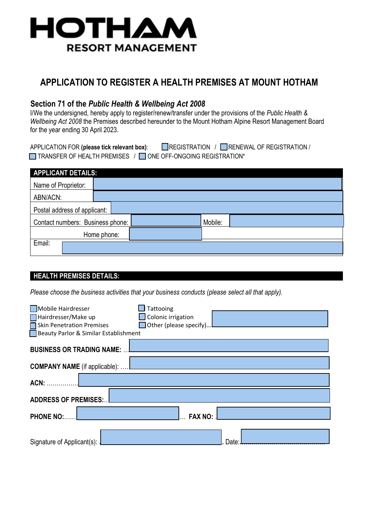

# **APPLICATION TO REGISTER A HEALTH PREMISES AT MOUNT HOTHAM**

## **Section 71 of the** *Public Health & Wellbeing Act 2008*

I/We the undersigned, hereby apply to register/renew/transfer under the provisions of the *Public Health & Wellbeing Act 2008* the Premises described hereunder to the Mount Hotham Alpine Resort Management Board for the year ending 30 April 2023.

APPLICATION FOR (please tick relevant box): REGISTRATION / RENEWAL OF REGISTRATION /  $\Box$  TRANSFER OF HEALTH PREMISES /  $\Box$  ONE OFF-ONGOING REGISTRATION\*

| <b>APPLICANT DETAILS:</b>        |  |  |         |  |  |
|----------------------------------|--|--|---------|--|--|
| Name of Proprietor:              |  |  |         |  |  |
| ABN/ACN:                         |  |  |         |  |  |
| Postal address of applicant:     |  |  |         |  |  |
| Contact numbers: Business phone: |  |  | Mobile: |  |  |
| Home phone:                      |  |  |         |  |  |
| Email:                           |  |  |         |  |  |

### **HEALTH PREMISES DETAILS:**

*Please choose the business activities that your business conducts (please select all that apply).* 

| Mobile Hairdresser<br>Hairdresser/Make up<br>Skin Penetration Premises<br>Beauty Parlor & Similar Establishment | Tattooing<br>Colonic irrigation<br>$\Box$ Other (please specify) |       |
|-----------------------------------------------------------------------------------------------------------------|------------------------------------------------------------------|-------|
| <b>BUSINESS OR TRADING NAME:</b>                                                                                |                                                                  |       |
| <b>COMPANY NAME</b> (if applicable):                                                                            |                                                                  |       |
| ACN:                                                                                                            |                                                                  |       |
| <b>ADDRESS OF PREMISES:</b>                                                                                     |                                                                  |       |
| <b>PHONE NO:</b>                                                                                                | <b>FAX NO:</b>                                                   |       |
| Signature of Applicant(s):                                                                                      |                                                                  | Date: |